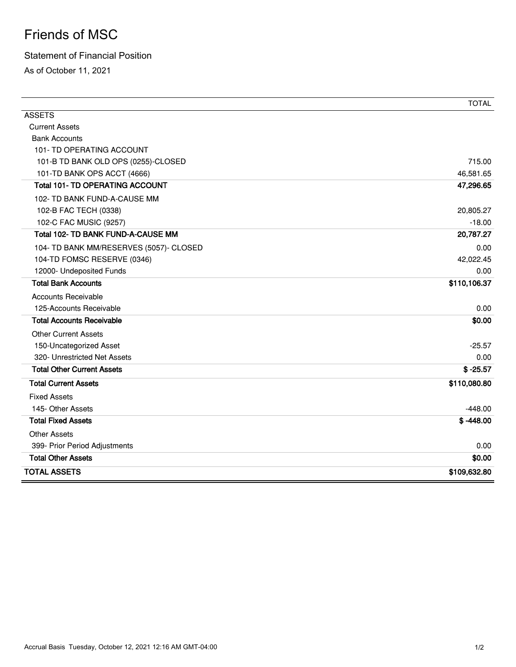## Friends of MSC

## Statement of Financial Position

As of October 11, 2021

|                                         | <b>TOTAL</b> |
|-----------------------------------------|--------------|
| <b>ASSETS</b>                           |              |
| <b>Current Assets</b>                   |              |
| <b>Bank Accounts</b>                    |              |
| 101- TD OPERATING ACCOUNT               |              |
| 101-B TD BANK OLD OPS (0255)-CLOSED     | 715.00       |
| 101-TD BANK OPS ACCT (4666)             | 46,581.65    |
| <b>Total 101- TD OPERATING ACCOUNT</b>  | 47,296.65    |
| 102- TD BANK FUND-A-CAUSE MM            |              |
| 102-B FAC TECH (0338)                   | 20,805.27    |
| 102-C FAC MUSIC (9257)                  | $-18.00$     |
| Total 102- TD BANK FUND-A-CAUSE MM      | 20,787.27    |
| 104- TD BANK MM/RESERVES (5057)- CLOSED | 0.00         |
| 104-TD FOMSC RESERVE (0346)             | 42,022.45    |
| 12000- Undeposited Funds                | 0.00         |
| <b>Total Bank Accounts</b>              | \$110,106.37 |
| <b>Accounts Receivable</b>              |              |
| 125-Accounts Receivable                 | 0.00         |
| <b>Total Accounts Receivable</b>        | \$0.00       |
| <b>Other Current Assets</b>             |              |
| 150-Uncategorized Asset                 | $-25.57$     |
| 320- Unrestricted Net Assets            | 0.00         |
| <b>Total Other Current Assets</b>       | $$ -25.57$   |
| <b>Total Current Assets</b>             | \$110,080.80 |
| <b>Fixed Assets</b>                     |              |
| 145- Other Assets                       | $-448.00$    |
| <b>Total Fixed Assets</b>               | $$ -448.00$  |
| <b>Other Assets</b>                     |              |
| 399- Prior Period Adjustments           | 0.00         |
| <b>Total Other Assets</b>               | \$0.00       |
| <b>TOTAL ASSETS</b>                     | \$109,632.80 |